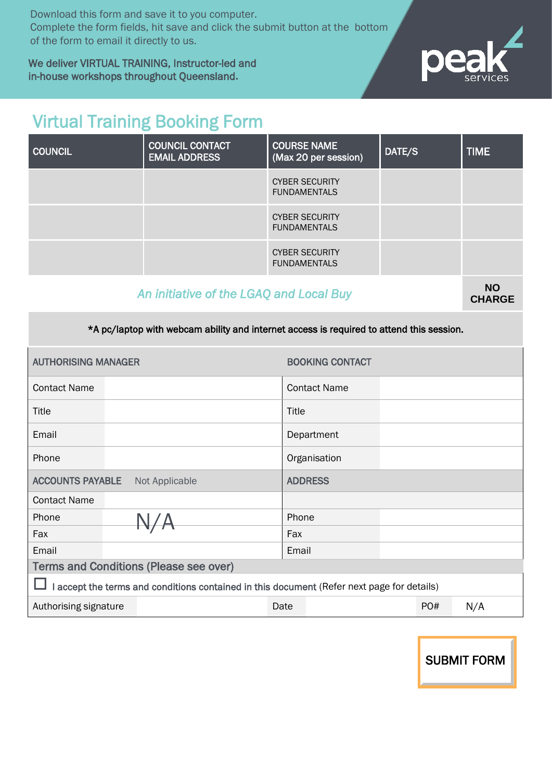Download this form and save it to you computer. Complete the form fields, hit save and click the submit button at the bottom of the form to email it directly to us.

We deliver VIRTUAL TRAINING, Instructor-led and in-house workshops throughout Queensland**.**



## Virtual Training Booking Form

| <b>COUNCIL</b>                          | <b>COUNCIL CONTACT</b><br><b>EMAIL ADDRESS</b> | <b>COURSE NAME</b><br>(Max 20 per session)   | DATE/S | <b>TIME</b> |  |
|-----------------------------------------|------------------------------------------------|----------------------------------------------|--------|-------------|--|
|                                         |                                                | <b>CYBER SECURITY</b><br><b>FUNDAMENTALS</b> |        |             |  |
|                                         |                                                | <b>CYBER SECURITY</b><br><b>FUNDAMENTALS</b> |        |             |  |
|                                         |                                                | <b>CYBER SECURITY</b><br><b>FUNDAMENTALS</b> |        |             |  |
| An initiative of the LOAO and Lead Duri |                                                |                                              |        |             |  |

### An *initiative of the LGAQ and Local Buy*

**CHARGE**

\*A pc/laptop with webcam ability and internet access is required to attend this session.

| <b>AUTHORISING MANAGER</b>                                                                 |  | <b>BOOKING CONTACT</b> |                     |     |     |  |  |
|--------------------------------------------------------------------------------------------|--|------------------------|---------------------|-----|-----|--|--|
| <b>Contact Name</b>                                                                        |  |                        | <b>Contact Name</b> |     |     |  |  |
| Title                                                                                      |  |                        | Title               |     |     |  |  |
| Email                                                                                      |  |                        | Department          |     |     |  |  |
| Phone                                                                                      |  |                        | Organisation        |     |     |  |  |
| <b>ACCOUNTS PAYABLE</b><br>Not Applicable                                                  |  | <b>ADDRESS</b>         |                     |     |     |  |  |
| <b>Contact Name</b>                                                                        |  |                        |                     |     |     |  |  |
| Phone                                                                                      |  |                        | Phone               |     |     |  |  |
| Fax                                                                                        |  |                        | Fax                 |     |     |  |  |
| Email                                                                                      |  |                        | Email               |     |     |  |  |
| <b>Terms and Conditions (Please see over)</b>                                              |  |                        |                     |     |     |  |  |
| I accept the terms and conditions contained in this document (Refer next page for details) |  |                        |                     |     |     |  |  |
| Authorising signature                                                                      |  | Date                   |                     | PO# | N/A |  |  |